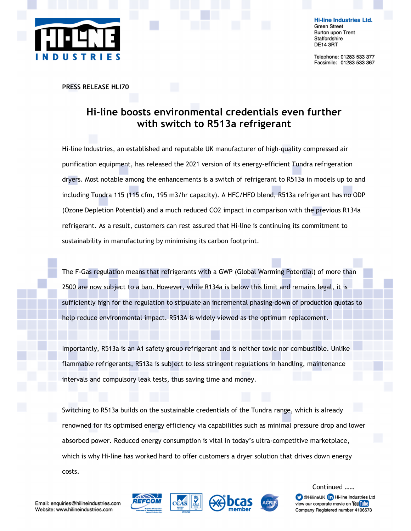

**Hi-line Industries Ltd. Green Street Burton upon Trent** Staffordshire **DE14 3RT** 

Telephone: 01283 533 377 Facsimile: 01283 533 367

PRESS RELEASE HLI70

## Hi-line boosts environmental credentials even further with switch to R513a refrigerant

Hi-line Industries, an established and reputable UK manufacturer of high-quality compressed air purification equipment, has released the 2021 version of its energy-efficient Tundra refrigeration dryers. Most notable among the enhancements is a switch of refrigerant to R513a in models up to and including Tundra 115 (115 cfm, 195 m3/hr capacity). A HFC/HFO blend, R513a refrigerant has no ODP (Ozone Depletion Potential) and a much reduced CO2 impact in comparison with the previous R134a refrigerant. As a result, customers can rest assured that Hi-line is continuing its commitment to sustainability in manufacturing by minimising its carbon footprint.

The F-Gas regulation means that refrigerants with a GWP (Global Warming Potential) of more than 2500 are now subject to a ban. However, while R134a is below this limit and remains legal, it is sufficiently high for the regulation to stipulate an incremental phasing-down of production quotas to help reduce environmental impact. R513A is widely viewed as the optimum replacement.

Importantly, R513a is an A1 safety group refrigerant and is neither toxic nor combustible. Unlike flammable refrigerants, R513a is subject to less stringent regulations in handling, maintenance intervals and compulsory leak tests, thus saving time and money.

Switching to R513a builds on the sustainable credentials of the Tundra range, which is already renowned for its optimised energy efficiency via capabilities such as minimal pressure drop and lower absorbed power. Reduced energy consumption is vital in today's ultra-competitive marketplace, which is why Hi-line has worked hard to offer customers a dryer solution that drives down energy costs.



C @HilineUK **(in** Hi-line Industries Ltd view our corporate movie on You Tube Company Registered number 4106573

Continued ……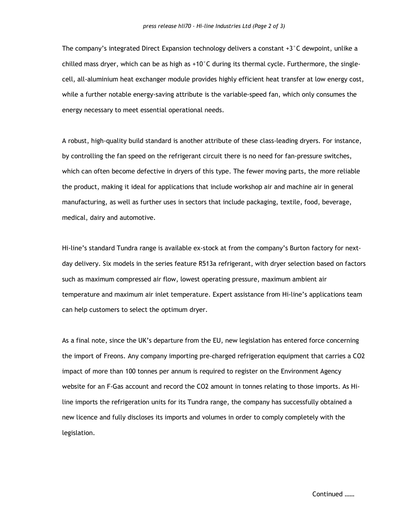The company's integrated Direct Expansion technology delivers a constant  $+3^{\circ}$ C dewpoint, unlike a chilled mass dryer, which can be as high as +10°C during its thermal cycle. Furthermore, the singlecell, all-aluminium heat exchanger module provides highly efficient heat transfer at low energy cost, while a further notable energy-saving attribute is the variable-speed fan, which only consumes the energy necessary to meet essential operational needs.

A robust, high-quality build standard is another attribute of these class-leading dryers. For instance, by controlling the fan speed on the refrigerant circuit there is no need for fan-pressure switches, which can often become defective in dryers of this type. The fewer moving parts, the more reliable the product, making it ideal for applications that include workshop air and machine air in general manufacturing, as well as further uses in sectors that include packaging, textile, food, beverage, medical, dairy and automotive.

Hi-line's standard Tundra range is available ex-stock at from the company's Burton factory for nextday delivery. Six models in the series feature R513a refrigerant, with dryer selection based on factors such as maximum compressed air flow, lowest operating pressure, maximum ambient air temperature and maximum air inlet temperature. Expert assistance from Hi-line's applications team can help customers to select the optimum dryer.

As a final note, since the UK's departure from the EU, new legislation has entered force concerning the import of Freons. Any company importing pre-charged refrigeration equipment that carries a CO2 impact of more than 100 tonnes per annum is required to register on the Environment Agency website for an F-Gas account and record the CO2 amount in tonnes relating to those imports. As Hiline imports the refrigeration units for its Tundra range, the company has successfully obtained a new licence and fully discloses its imports and volumes in order to comply completely with the legislation.